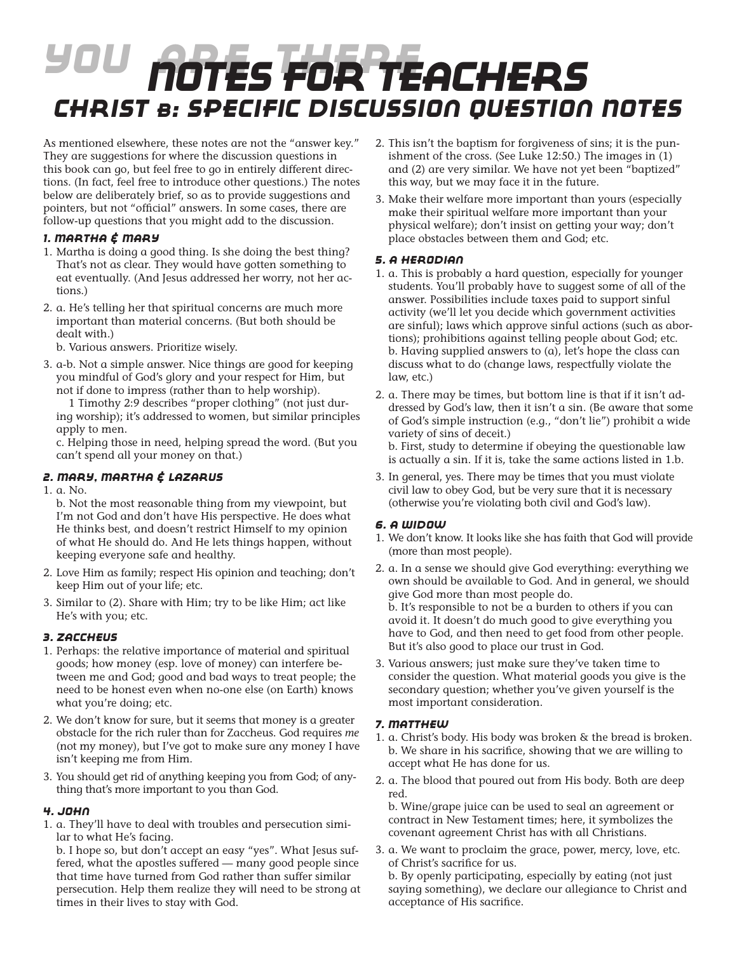# *You Are There Notes for teachers Christ b: Specific Discussion Question Notes*

As mentioned elsewhere, these notes are not the "answer key." They are suggestions for where the discussion questions in this book can go, but feel free to go in entirely different directions. (In fact, feel free to introduce other questions.) The notes below are deliberately brief, so as to provide suggestions and pointers, but not "official" answers. In some cases, there are follow-up questions that you might add to the discussion.

## *1. Martha & Mary*

- 1. Martha is doing a good thing. Is she doing the best thing? That's not as clear. They would have gotten something to eat eventually. (And Jesus addressed her worry, not her actions.)
- 2. a. He's telling her that spiritual concerns are much more important than material concerns. (But both should be dealt with.)

b. Various answers. Prioritize wisely.

3. a-b. Not a simple answer. Nice things are good for keeping you mindful of God's glory and your respect for Him, but not if done to impress (rather than to help worship).

 1 Timothy 2:9 describes "proper clothing" (not just during worship); it's addressed to women, but similar principles apply to men.

c. Helping those in need, helping spread the word. (But you can't spend all your money on that.)

## *2. Mary, Martha & Lazarus*

#### 1. a. No.

- b. Not the most reasonable thing from my viewpoint, but I'm not God and don't have His perspective. He does what He thinks best, and doesn't restrict Himself to my opinion of what He should do. And He lets things happen, without keeping everyone safe and healthy.
- 2. Love Him as family; respect His opinion and teaching; don't keep Him out of your life; etc.
- 3. Similar to (2). Share with Him; try to be like Him; act like He's with you; etc.

## *3. Zaccheus*

- 1. Perhaps: the relative importance of material and spiritual goods; how money (esp. love of money) can interfere between me and God; good and bad ways to treat people; the need to be honest even when no-one else (on Earth) knows what you're doing; etc.
- 2. We don't know for sure, but it seems that money is a greater obstacle for the rich ruler than for Zaccheus. God requires *me* (not my money), but I've got to make sure any money I have isn't keeping me from Him.
- 3. You should get rid of anything keeping you from God; of anything that's more important to you than God.

## *4. John*

1. a. They'll have to deal with troubles and persecution similar to what He's facing.

b. I hope so, but don't accept an easy "yes". What Jesus suffered, what the apostles suffered — many good people since that time have turned from God rather than suffer similar persecution. Help them realize they will need to be strong at times in their lives to stay with God.

- 2. This isn't the baptism for forgiveness of sins; it is the punishment of the cross. (See Luke 12:50.) The images in (1) and (2) are very similar. We have not yet been "baptized" this way, but we may face it in the future.
- 3. Make their welfare more important than yours (especially make their spiritual welfare more important than your physical welfare); don't insist on getting your way; don't place obstacles between them and God; etc.

## *5. A Herodian*

- 1. a. This is probably a hard question, especially for younger students. You'll probably have to suggest some of all of the answer. Possibilities include taxes paid to support sinful activity (we'll let you decide which government activities are sinful); laws which approve sinful actions (such as abortions); prohibitions against telling people about God; etc. b. Having supplied answers to (a), let's hope the class can discuss what to do (change laws, respectfully violate the law, etc.)
- 2. a. There may be times, but bottom line is that if it isn't addressed by God's law, then it isn't a sin. (Be aware that some of God's simple instruction (e.g., "don't lie") prohibit a wide variety of sins of deceit.)

b. First, study to determine if obeying the questionable law is actually a sin. If it is, take the same actions listed in 1.b.

3. In general, yes. There may be times that you must violate civil law to obey God, but be very sure that it is necessary (otherwise you're violating both civil and God's law).

## *6. A Widow*

- 1. We don't know. It looks like she has faith that God will provide (more than most people).
- 2. a. In a sense we should give God everything: everything we own should be available to God. And in general, we should give God more than most people do. b. It's responsible to not be a burden to others if you can avoid it. It doesn't do much good to give everything you have to God, and then need to get food from other people. But it's also good to place our trust in God.
- 3. Various answers; just make sure they've taken time to consider the question. What material goods you give is the secondary question; whether you've given yourself is the most important consideration.

# *7. Matthew*

- 1. a. Christ's body. His body was broken & the bread is broken. b. We share in his sacrifice, showing that we are willing to accept what He has done for us.
- 2. a. The blood that poured out from His body. Both are deep red.

b. Wine/grape juice can be used to seal an agreement or contract in New Testament times; here, it symbolizes the covenant agreement Christ has with all Christians.

3. a. We want to proclaim the grace, power, mercy, love, etc. of Christ's sacrifice for us. b. By openly participating, especially by eating (not just saying something), we declare our allegiance to Christ and acceptance of His sacrifice.